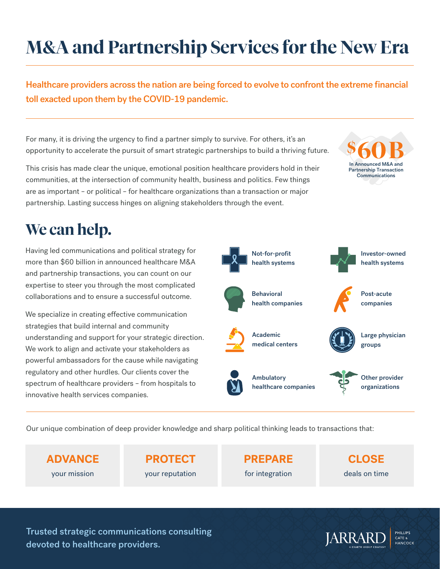## **M&A and Partnership Services for the New Era**

Healthcare providers across the nation are being forced to evolve to confront the extreme financial toll exacted upon them by the COVID-19 pandemic.

For many, it is driving the urgency to find a partner simply to survive. For others, it's an opportunity to accelerate the pursuit of smart strategic partnerships to build a thriving future.

This crisis has made clear the unique, emotional position healthcare providers hold in their communities, at the intersection of community health, business and politics. Few things are as important – or political – for healthcare organizations than a transaction or major partnership. Lasting success hinges on aligning stakeholders through the event.



## **We can help.**

Having led communications and political strategy for more than \$60 billion in announced healthcare M&A and partnership transactions, you can count on our expertise to steer you through the most complicated collaborations and to ensure a successful outcome.

We specialize in creating effective communication strategies that build internal and community understanding and support for your strategic direction. We work to align and activate your stakeholders as powerful ambassadors for the cause while navigating regulatory and other hurdles. Our clients cover the spectrum of healthcare providers – from hospitals to innovative health services companies.

health systems Behavioral health companies

Not-for-profit

Academic medical centers



Investor-owned health systems



Post-acute companies



Large physician groups

Ambulatory healthcare companies



Other provider organizations

Our unique combination of deep provider knowledge and sharp political thinking leads to transactions that:

**ADVANCE** your mission

**PROTECT** your reputation **PREPARE**  for integration

**CLOSE** deals on time

Trusted strategic communications consulting devoted to healthcare providers.